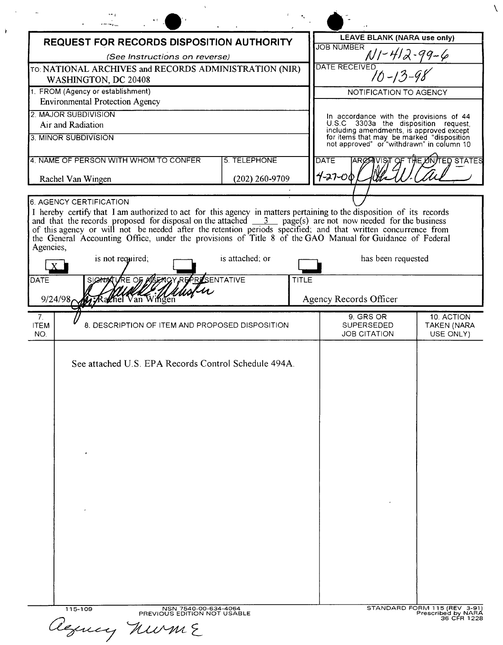| <b>REQUEST FOR RECORDS DISPOSITION AUTHORITY</b>                               |                                                                                    |                                |              | LEAVE BLANK (NARA use only)                                                                                                                                                |                                 |
|--------------------------------------------------------------------------------|------------------------------------------------------------------------------------|--------------------------------|--------------|----------------------------------------------------------------------------------------------------------------------------------------------------------------------------|---------------------------------|
| (See Instructions on reverse)                                                  |                                                                                    |                                |              | <b>JOB NUMBER</b><br>$-99-6$                                                                                                                                               |                                 |
| TO: NATIONAL ARCHIVES and RECORDS ADMINISTRATION (NIR)<br>WASHINGTON, DC 20408 |                                                                                    |                                |              | <b>DATE RECEIVED</b><br>$70 - 13$                                                                                                                                          |                                 |
| 1. FROM (Agency or establishment)<br><b>Environmental Protection Agency</b>    |                                                                                    |                                |              | NOTIFICATION TO AGENCY                                                                                                                                                     |                                 |
|                                                                                | 2. MAJOR SUBDIVISION<br>Air and Radiation                                          |                                |              | In accordance with the provisions of 44                                                                                                                                    |                                 |
|                                                                                | 3. MINOR SUBDIVISION                                                               |                                |              | U.S.C 3303a the disposition request,<br>including amendments, is approved except<br>for items that may be marked "disposition<br>not approved" or "withdrawn" in column 10 |                                 |
| 4. NAME OF PERSON WITH WHOM TO CONFER<br>Rachel Van Wingen                     |                                                                                    | 5. TELEPHONE<br>(202) 260-9709 |              | <b>THE ONTED STATES</b><br><b>DATE</b><br>$4 - 27 - 00$                                                                                                                    |                                 |
|                                                                                |                                                                                    |                                |              |                                                                                                                                                                            |                                 |
| Agencies,<br>DATE<br>9/24/98                                                   | is not required;<br>SIGNATURE OF AGENCY REPRESENTATIVE<br><b>Rachel Van Wingen</b> | is attached; or                | <b>TITLE</b> | has been requested<br>Agency Records Officer                                                                                                                               |                                 |
| 7.                                                                             |                                                                                    |                                |              | 9. GRS OR                                                                                                                                                                  | 10. ACTION                      |
| <b>ITEM</b><br>NO.                                                             | 8. DESCRIPTION OF ITEM AND PROPOSED DISPOSITION                                    |                                |              | SUPERSEDED<br><b>JOB CITATION</b>                                                                                                                                          | <b>TAKEN (NARA</b><br>USE ONLY) |
|                                                                                | See attached U.S. EPA Records Control Schedule 494A.<br>$\cdot$                    |                                |              |                                                                                                                                                                            |                                 |
|                                                                                |                                                                                    |                                |              |                                                                                                                                                                            |                                 |
|                                                                                |                                                                                    |                                |              |                                                                                                                                                                            |                                 |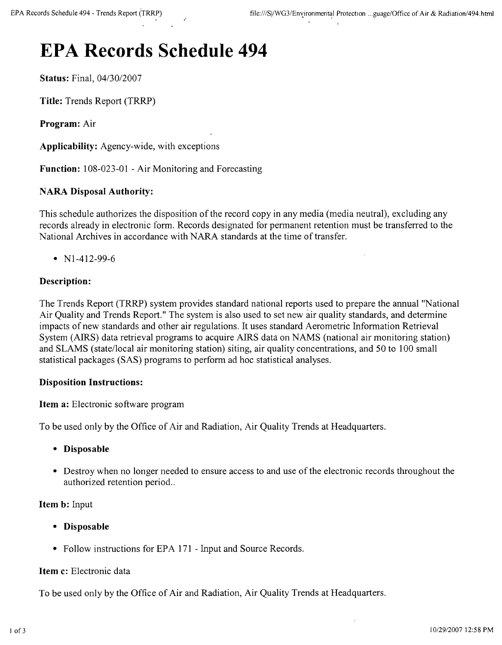# **EPA Records Schedule 494**

**Status:** Final, 04/30/2007

**Title:** Trends Report (TRRP)

**Program:** Air

**Applicability:** Agency-wide, with exceptions

**Function:** 108-023-01 - Air Monitoring and Forecasting

## **NARA Disposal Authority:**

This schedule authorizes the disposition of the record copy in any media (media neutral), excluding any records already in electronic form. Records designated for permanent retention must be transferred to the National Archives in accordance with NARA standards at the time of transfer.

•  $N1-412-99-6$ 

## **Description:**

The Trends Report (TRRP) system provides standard national reports used to prepare the annual "National Air Quality and Trends Report." The system is also used to set new air quality standards, and determine impacts of new standards and other air regulations. It uses standard Aerometric Information Retrieval System (AIRS) data retrieval programs to acquire AIRS data on NAMS (national air monitoring station) and SLAMS (state/local air monitoring station) siting, air quality concentrations, and 50 to 100 small statistical packages (SAS) programs to perform ad hoc statistical analyses.

## **Disposition Instructions:**

**Item a:** Electronic software program

To be used only by the Office of Air and Radiation, Air Quality Trends at Headquarters.

- **• Disposable**
- Destroy when no longer needed to ensure access to and use of the electronic records throughout the authorized retention period..

### **Item b:** Input

- **• Disposable**
- Follow instructions for EPA 171 Input and Source Records.

### **Item c:** Electronic data

To be used only by the Office of Air and Radiation, Air Quality Trends at Headquarters.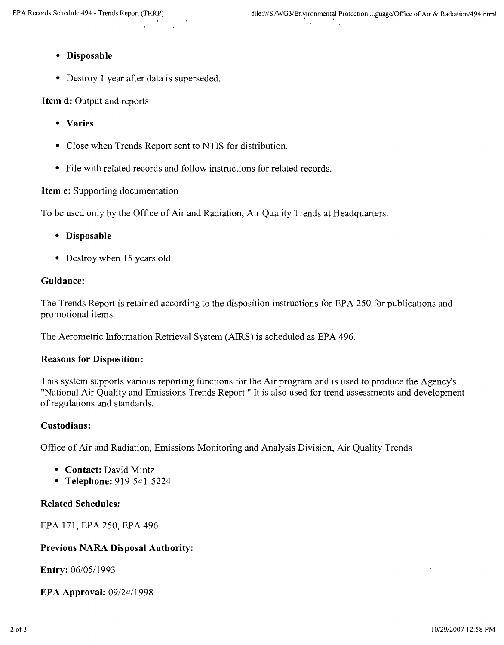- **• Disposable**
- Destroy 1 year after data is superseded.

**Item d:** Output and reports

- **• Varies**
- Close when Trends Report sent to NTIS for distribution.
- File with related records and follow instructions for related records.

**Item e:** Supporting documentation

To be used only by the Office of Air and Radiation, Air Quality Trends at Headquarters.

- **• Disposable**
- Destroy when 15 years old.

# **Guidance:**

The Trends Report is retained according to the disposition instructions for EPA 250 for publications and promotional items.

The Aerometric Information Retrieval System (AIRS) is scheduled as EPA 496.

### **Reasons for Disposition:**

This system supports various reporting functions for the Air program and is used to produce the Agency's "National Air Quality and Emissions Trends Report." It is also used for trend assessments and development of regulations and standards.

### **Custodians:**

Office of Air and Radiation, Emissions Monitoring and Analysis Division, Air Quality Trends

- **• Contact:** David Mintz
- **• Telephone:** 919-541-5224

# **Related Schedules:**

EPA 171, EPA 250, EPA 496

# **Previous NARA Disposal Authority:**

**Entry:** *06/0511993*

**EPA Approval:** *0912411998*